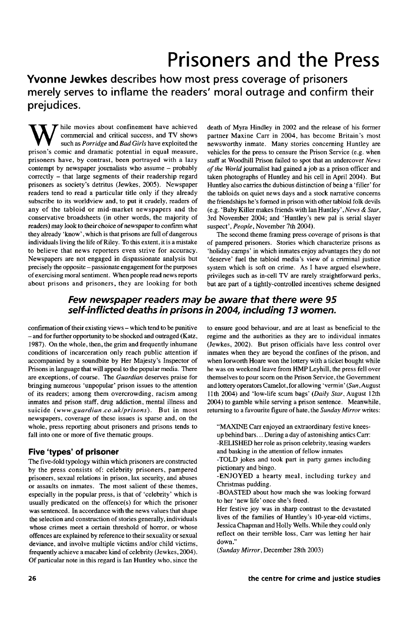## Prisoners and the Press

## **Yvonne Jewkes** describes how most press coverage of prisoners merely serves to inflame the readers' moral outrage and confirm their prejudices.

hile movies about confinement have achieved commercial and critical success, and TV shows such as *Porridge* and *Bad Girls* have exploited the prison's comic and dramatic potential in equal measure, prisoners have, by contrast, been portrayed with a lazy contempt by newspaper journalists who assume - probably correctly - that large segments of their readership regard prisoners as society's detritus (Jewkes, 2005). Newspaper readers tend to read a particular title only if they already subscribe to its worldview and, to put it crudely, readers of any of the tabloid or mid-market newspapers and the conservative broadsheets (in other words, the majority of readers) may look to their choice of newspaper to confirm what they already' know', which is that prisons are full of dangerous individuals living the life of Riley. To this extent, it is a mistake to believe that news reporters even strive for accuracy. Newspapers are not engaged in dispassionate analysis but precisely the opposite - passionate engagement for the purposes of exercising moral sentiment. When people read news reports about prisons and prisoners, they are looking for both

death of Myra Hindley in 2002 and the release of his former partner Maxine Carr in 2004, has become Britain's most newsworthy inmate. Many stories concerning Huntley are vehicles for the press to censure the Prison Service (e.g. when staff at Woodhill Prison failed to spot that an undercover *News of the World* journalist had gained a job as a prison officer and taken photographs of Huntley and his cell in April 2004). But Huntley also carries the dubious distinction of being a 'filler' for the tabloids on quiet news days and a stock narrative concerns the friendships he's formed in prison with other tabloid folk devils (e.g. 'Baby Killer makes friends with Ian Huntley',*News & Star,* 3rd November 2004; and 'Huntley's new pal is serial slayer suspect', *People,* November 7th 2004).

The second theme framing press coverage of prisons is that of pampered prisoners. Stories which characterize prisons as 'holiday camps' in which inmates enjoy advantages they do not 'deserve' fuel the tabloid media's view of a criminal justice system which is soft on crime. As I have argued elsewhere, privileges such as in-cell TV are rarely straightforward perks, but are part of a tightly-controlled incentives scheme designed

## Few newspaper readers may be aware that there were 95 self-inflicted deaths in prisons in 2004, including 13 women.

confirmation of their existing views - which tend to be punitive - and for further opportunity to be shocked and outraged (Katz, 1987). On the whole, then, the grim and frequently inhumane conditions of incarceration only reach public attention if accompanied by a soundbite by Her Majesty's Inspector of Prisons in language that will appeal to the popular media. There are exceptions, of course. The *Guardian* deserves praise for bringing numerous 'unpopular' prison issues to the attention of its readers; among them overcrowding, racism among inmates and prison staff, drug addiction, mental illness and suicide *(www.guardian.co.uk/prisons).* But in most newspapers, coverage of these issues is sparse and, on the whole, press reporting about prisoners and prisons tends to fall into one or more of five thematic groups.

## **Five 'types' of prisoner**

The five-fold typology within which prisoners are constructed by the press consists of: celebrity prisoners, pampered prisoners, sexual relations in prison, lax security, and abuses or assaults on inmates. The most salient of these themes, especially in the popular press, is that of 'celebrity' which is usually predicated on the offence(s) for which the prisoner was sentenced. In accordance with the news values that shape the selection and construction of stories generally, individuals whose crimes meet a certain threshold of horror, or whose offences are explained by reference to their sexuality or sexual deviance, and involve multiple victims and/or child victims, frequently achieve a macabre kind of celebrity (Jewkes, 2004). Of particular note in this regard is Ian Huntley who, since the

to ensure good behaviour, and are at least as beneficial to the regime and the authorities as they are to individual inmates (Jewkes, 2002). But prison officials have less control over inmates when they are beyond the confines of the prison, and when Iorworth Hoare won the lottery with a ticket bought while he was on weekend leave from HMP Leyhill, the press fell over themselves to pour scorn on the Prison Service, the Government and lottery operators Camelot, for allowing' vermin' *(Sun* .August 11th 2004) and 'low-life scum bags' *(Daily Star,* August 12th 2004) to gamble while serving a prison sentence. Meanwhile, returning to a favourite figure of hate, the *Sunday Mirror* writes:

"MAXINE Carr enjoyed an extraordinary festive kneesup behind bars... During a day of astonishing antics Carr: -RELISHED her role as prison celebrity, teasing warders and basking in the attention of fellow inmates

-TOLD jokes and took part in party games including pictionary and bingo.

-ENJOYED a hearty meal, including turkey and Christmas pudding.

-BOASTED about how much she was looking forward to her 'new life' once she's freed.

Her festive joy was in sharp contrast to the devastated lives of the families of Huntley's 10-year-old victims, Jessica Chapman and Holly Wells. While they could only reflect on their terrible loss, Carr was letting her hair down."

*(Sunday Mirror,* December 28th 2003)